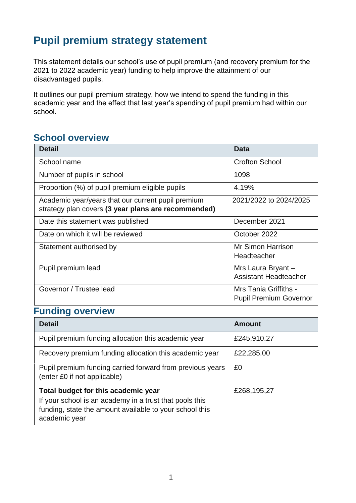## **Pupil premium strategy statement**

This statement details our school's use of pupil premium (and recovery premium for the 2021 to 2022 academic year) funding to help improve the attainment of our disadvantaged pupils.

It outlines our pupil premium strategy, how we intend to spend the funding in this academic year and the effect that last year's spending of pupil premium had within our school.

#### **School overview**

| <b>Detail</b>                                                                                             | Data                                                   |
|-----------------------------------------------------------------------------------------------------------|--------------------------------------------------------|
| School name                                                                                               | <b>Crofton School</b>                                  |
| Number of pupils in school                                                                                | 1098                                                   |
| Proportion (%) of pupil premium eligible pupils                                                           | 4.19%                                                  |
| Academic year/years that our current pupil premium<br>strategy plan covers (3 year plans are recommended) | 2021/2022 to 2024/2025                                 |
| Date this statement was published                                                                         | December 2021                                          |
| Date on which it will be reviewed                                                                         | October 2022                                           |
| Statement authorised by                                                                                   | Mr Simon Harrison<br>Headteacher                       |
| Pupil premium lead                                                                                        | Mrs Laura Bryant-<br><b>Assistant Headteacher</b>      |
| Governor / Trustee lead                                                                                   | Mrs Tania Griffiths -<br><b>Pupil Premium Governor</b> |

### **Funding overview**

| <b>Detail</b>                                                                                                                                                              | Amount      |
|----------------------------------------------------------------------------------------------------------------------------------------------------------------------------|-------------|
| Pupil premium funding allocation this academic year                                                                                                                        | £245,910.27 |
| Recovery premium funding allocation this academic year                                                                                                                     | £22,285.00  |
| Pupil premium funding carried forward from previous years<br>(enter £0 if not applicable)                                                                                  | £0          |
| Total budget for this academic year<br>If your school is an academy in a trust that pools this<br>funding, state the amount available to your school this<br>academic year | £268,195,27 |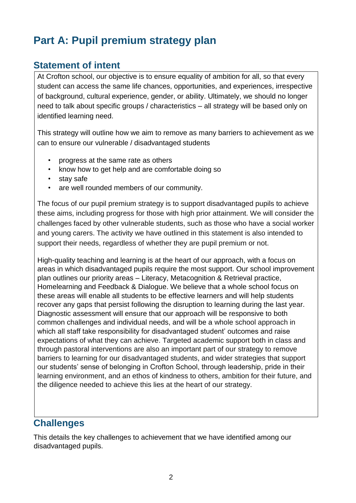## **Part A: Pupil premium strategy plan**

#### **Statement of intent**

At Crofton school, our objective is to ensure equality of ambition for all, so that every student can access the same life chances, opportunities, and experiences, irrespective of background, cultural experience, gender, or ability. Ultimately, we should no longer need to talk about specific groups / characteristics – all strategy will be based only on identified learning need.

This strategy will outline how we aim to remove as many barriers to achievement as we can to ensure our vulnerable / disadvantaged students

- progress at the same rate as others
- know how to get help and are comfortable doing so
- stay safe
- are well rounded members of our community.

The focus of our pupil premium strategy is to support disadvantaged pupils to achieve these aims, including progress for those with high prior attainment. We will consider the challenges faced by other vulnerable students, such as those who have a social worker and young carers. The activity we have outlined in this statement is also intended to support their needs, regardless of whether they are pupil premium or not.

High-quality teaching and learning is at the heart of our approach, with a focus on areas in which disadvantaged pupils require the most support. Our school improvement plan outlines our priority areas – Literacy, Metacognition & Retrieval practice, Homelearning and Feedback & Dialogue. We believe that a whole school focus on these areas will enable all students to be effective learners and will help students recover any gaps that persist following the disruption to learning during the last year. Diagnostic assessment will ensure that our approach will be responsive to both common challenges and individual needs, and will be a whole school approach in which all staff take responsibility for disadvantaged student' outcomes and raise expectations of what they can achieve. Targeted academic support both in class and through pastoral interventions are also an important part of our strategy to remove barriers to learning for our disadvantaged students, and wider strategies that support our students' sense of belonging in Crofton School, through leadership, pride in their learning environment, and an ethos of kindness to others, ambition for their future, and the diligence needed to achieve this lies at the heart of our strategy.

#### **Challenges**

This details the key challenges to achievement that we have identified among our disadvantaged pupils.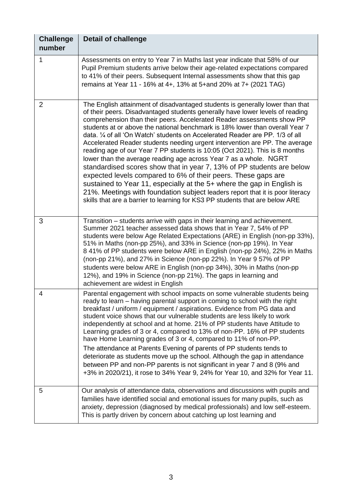| <b>Challenge</b><br>number | <b>Detail of challenge</b>                                                                                                                                                                                                                                                                                                                                                                                                                                                                                                                                                                                                                                                                                                                                                                                                                                                                                                                                                                                                        |
|----------------------------|-----------------------------------------------------------------------------------------------------------------------------------------------------------------------------------------------------------------------------------------------------------------------------------------------------------------------------------------------------------------------------------------------------------------------------------------------------------------------------------------------------------------------------------------------------------------------------------------------------------------------------------------------------------------------------------------------------------------------------------------------------------------------------------------------------------------------------------------------------------------------------------------------------------------------------------------------------------------------------------------------------------------------------------|
| 1                          | Assessments on entry to Year 7 in Maths last year indicate that 58% of our<br>Pupil Premium students arrive below their age-related expectations compared<br>to 41% of their peers. Subsequent Internal assessments show that this gap<br>remains at Year 11 - 16% at 4+, 13% at 5+and 20% at 7+ (2021 TAG)                                                                                                                                                                                                                                                                                                                                                                                                                                                                                                                                                                                                                                                                                                                       |
| 2                          | The English attainment of disadvantaged students is generally lower than that<br>of their peers. Disadvantaged students generally have lower levels of reading<br>comprehension than their peers. Accelerated Reader assessments show PP<br>students at or above the national benchmark is 18% lower than overall Year 7<br>data. 1/4 of all 'On Watch' students on Accelerated Reader are PP. 1/3 of all<br>Accelerated Reader students needing urgent intervention are PP. The average<br>reading age of our Year 7 PP students is 10:05 (Oct 2021). This is 8 months<br>lower than the average reading age across Year 7 as a whole. NGRT<br>standardised scores show that in year 7, 13% of PP students are below<br>expected levels compared to 6% of their peers. These gaps are<br>sustained to Year 11, especially at the 5+ where the gap in English is<br>21%. Meetings with foundation subject leaders report that it is poor literacy<br>skills that are a barrier to learning for KS3 PP students that are below ARE |
| 3                          | Transition – students arrive with gaps in their learning and achievement.<br>Summer 2021 teacher assessed data shows that in Year 7, 54% of PP<br>students were below Age Related Expectations (ARE) in English (non-pp 33%),<br>51% in Maths (non-pp 25%), and 33% in Science (non-pp 19%). In Year<br>8 41% of PP students were below ARE in English (non-pp 24%), 22% in Maths<br>(non-pp 21%), and 27% in Science (non-pp 22%). In Year 9 57% of PP<br>students were below ARE in English (non-pp 34%), 30% in Maths (non-pp<br>12%), and 19% in Science (non-pp 21%). The gaps in learning and<br>achievement are widest in English                                                                                                                                                                                                                                                                                                                                                                                          |
| 4                          | Parental engagement with school impacts on some vulnerable students being<br>ready to learn – having parental support in coming to school with the right<br>breakfast / uniform / equipment / aspirations. Evidence from PG data and<br>student voice shows that our vulnerable students are less likely to work<br>independently at school and at home. 21% of PP students have Attitude to<br>Learning grades of 3 or 4, compared to 13% of non-PP. 16% of PP students<br>have Home Learning grades of 3 or 4, compared to 11% of non-PP.<br>The attendance at Parents Evening of parents of PP students tends to<br>deteriorate as students move up the school. Although the gap in attendance<br>between PP and non-PP parents is not significant in year 7 and 8 (9% and<br>+3% in 2020/21), it rose to 34% Year 9, 24% for Year 10, and 32% for Year 11.                                                                                                                                                                    |
| 5                          | Our analysis of attendance data, observations and discussions with pupils and<br>families have identified social and emotional issues for many pupils, such as<br>anxiety, depression (diagnosed by medical professionals) and low self-esteem.<br>This is partly driven by concern about catching up lost learning and                                                                                                                                                                                                                                                                                                                                                                                                                                                                                                                                                                                                                                                                                                           |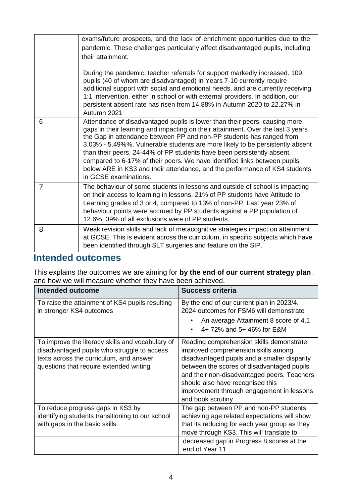|                | exams/future prospects, and the lack of enrichment opportunities due to the                                                                                                                                                                                                                                                                                                                                                                                                                                                                                                          |
|----------------|--------------------------------------------------------------------------------------------------------------------------------------------------------------------------------------------------------------------------------------------------------------------------------------------------------------------------------------------------------------------------------------------------------------------------------------------------------------------------------------------------------------------------------------------------------------------------------------|
|                | pandemic. These challenges particularly affect disadvantaged pupils, including                                                                                                                                                                                                                                                                                                                                                                                                                                                                                                       |
|                | their attainment.                                                                                                                                                                                                                                                                                                                                                                                                                                                                                                                                                                    |
|                | During the pandemic, teacher referrals for support markedly increased. 109<br>pupils (40 of whom are disadvantaged) in Years 7-10 currently require<br>additional support with social and emotional needs, and are currently receiving<br>1:1 intervention, either in school or with external providers. In addition, our<br>persistent absent rate has risen from 14.88% in Autumn 2020 to 22.27% in<br>Autumn 2021                                                                                                                                                                 |
| 6              | Attendance of disadvantaged pupils is lower than their peers, causing more<br>gaps in their learning and impacting on their attainment. Over the last 3 years<br>the Gap in attendance between PP and non-PP students has ranged from<br>3.03% - 5.49%%. Vulnerable students are more likely to be persistently absent<br>than their peers. 24-44% of PP students have been persistently absent,<br>compared to 6-17% of their peers. We have identified links between pupils<br>below ARE in KS3 and their attendance, and the performance of KS4 students<br>in GCSE examinations. |
| $\overline{7}$ | The behaviour of some students in lessons and outside of school is impacting<br>on their access to learning in lessons. 21% of PP students have Attitude to<br>Learning grades of 3 or 4, compared to 13% of non-PP. Last year 23% of<br>behaviour points were accrued by PP students against a PP population of<br>12.6%, 39% of all exclusions were of PP students.                                                                                                                                                                                                                |
| 8              | Weak revision skills and lack of metacognitive strategies impact on attainment<br>at GCSE. This is evident across the curriculum, in specific subjects which have<br>been identified through SLT surgeries and feature on the SIP.                                                                                                                                                                                                                                                                                                                                                   |

#### **Intended outcomes**

This explains the outcomes we are aiming for **by the end of our current strategy plan**, and how we will measure whether they have been achieved.

| Intended outcome                                                                                                                                                                      | <b>Success criteria</b>                                                                                                                                                                                                                                                                                                            |
|---------------------------------------------------------------------------------------------------------------------------------------------------------------------------------------|------------------------------------------------------------------------------------------------------------------------------------------------------------------------------------------------------------------------------------------------------------------------------------------------------------------------------------|
| To raise the attainment of KS4 pupils resulting<br>in stronger KS4 outcomes                                                                                                           | By the end of our current plan in 2023/4,<br>2024 outcomes for FSM6 will demonstrate<br>An average Attainment 8 score of 4.1<br>4+ 72% and 5+ 46% for E&M                                                                                                                                                                          |
| To improve the literacy skills and vocabulary of<br>disadvantaged pupils who struggle to access<br>texts across the curriculum, and answer<br>questions that require extended writing | Reading comprehension skills demonstrate<br>improved comprehension skills among<br>disadvantaged pupils and a smaller disparity<br>between the scores of disadvantaged pupils<br>and their non-disadvantaged peers. Teachers<br>should also have recognised this<br>improvement through engagement in lessons<br>and book scrutiny |
| To reduce progress gaps in KS3 by<br>identifying students transitioning to our school<br>with gaps in the basic skills                                                                | The gap between PP and non-PP students<br>achieving age related expectations will show<br>that its reducing for each year group as they<br>move through KS3. This will translate to<br>decreased gap in Progress 8 scores at the<br>end of Year 11                                                                                 |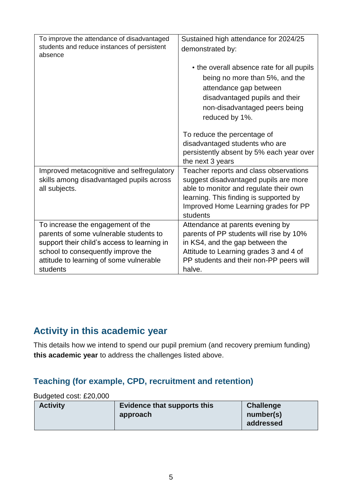| To improve the attendance of disadvantaged<br>students and reduce instances of persistent<br>absence                                                                                                                    | Sustained high attendance for 2024/25<br>demonstrated by:                                                                                                                                                               |
|-------------------------------------------------------------------------------------------------------------------------------------------------------------------------------------------------------------------------|-------------------------------------------------------------------------------------------------------------------------------------------------------------------------------------------------------------------------|
|                                                                                                                                                                                                                         | • the overall absence rate for all pupils<br>being no more than 5%, and the<br>attendance gap between<br>disadvantaged pupils and their<br>non-disadvantaged peers being<br>reduced by 1%.                              |
|                                                                                                                                                                                                                         | To reduce the percentage of<br>disadvantaged students who are<br>persistently absent by 5% each year over<br>the next 3 years                                                                                           |
| Improved metacognitive and selfregulatory<br>skills among disadvantaged pupils across<br>all subjects.                                                                                                                  | Teacher reports and class observations<br>suggest disadvantaged pupils are more<br>able to monitor and regulate their own<br>learning. This finding is supported by<br>Improved Home Learning grades for PP<br>students |
| To increase the engagement of the<br>parents of some vulnerable students to<br>support their child's access to learning in<br>school to consequently improve the<br>attitude to learning of some vulnerable<br>students | Attendance at parents evening by<br>parents of PP students will rise by 10%<br>in KS4, and the gap between the<br>Attitude to Learning grades 3 and 4 of<br>PP students and their non-PP peers will<br>halve.           |

### **Activity in this academic year**

This details how we intend to spend our pupil premium (and recovery premium funding) **this academic year** to address the challenges listed above.

#### **Teaching (for example, CPD, recruitment and retention)**

#### Budgeted cost: £20,000

| <b>Activity</b> | Evidence that supports this | <b>Challenge</b> |
|-----------------|-----------------------------|------------------|
|                 | approach                    | number(s)        |
|                 |                             | addressed        |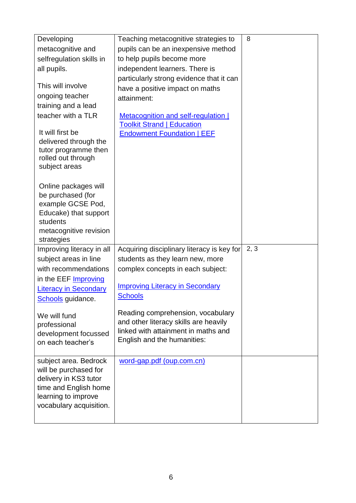| Developing                                   | Teaching metacognitive strategies to       | 8    |
|----------------------------------------------|--------------------------------------------|------|
| metacognitive and                            | pupils can be an inexpensive method        |      |
| selfregulation skills in                     | to help pupils become more                 |      |
| all pupils.                                  | independent learners. There is             |      |
|                                              | particularly strong evidence that it can   |      |
| This will involve                            | have a positive impact on maths            |      |
| ongoing teacher                              | attainment:                                |      |
| training and a lead                          |                                            |      |
| teacher with a TLR                           | <b>Metacognition and self-regulation  </b> |      |
| It will first be                             | <b>Toolkit Strand   Education</b>          |      |
| delivered through the                        | <b>Endowment Foundation   EEF</b>          |      |
| tutor programme then                         |                                            |      |
| rolled out through                           |                                            |      |
| subject areas                                |                                            |      |
|                                              |                                            |      |
| Online packages will                         |                                            |      |
| be purchased (for                            |                                            |      |
| example GCSE Pod,                            |                                            |      |
| Educake) that support<br>students            |                                            |      |
| metacognitive revision                       |                                            |      |
| strategies                                   |                                            |      |
| Improving literacy in all                    | Acquiring disciplinary literacy is key for | 2, 3 |
| subject areas in line                        | students as they learn new, more           |      |
| with recommendations                         | complex concepts in each subject:          |      |
|                                              |                                            |      |
|                                              |                                            |      |
| in the EEF <b>Improving</b>                  | <b>Improving Literacy in Secondary</b>     |      |
| <b>Literacy in Secondary</b>                 | <b>Schools</b>                             |      |
| Schools guidance.                            |                                            |      |
| We will fund                                 | Reading comprehension, vocabulary          |      |
| professional                                 | and other literacy skills are heavily      |      |
| development focussed                         | linked with attainment in maths and        |      |
| on each teacher's                            | English and the humanities:                |      |
|                                              |                                            |      |
| subject area. Bedrock                        | word-gap.pdf (oup.com.cn)                  |      |
| will be purchased for                        |                                            |      |
| delivery in KS3 tutor                        |                                            |      |
| time and English home<br>learning to improve |                                            |      |
| vocabulary acquisition.                      |                                            |      |
|                                              |                                            |      |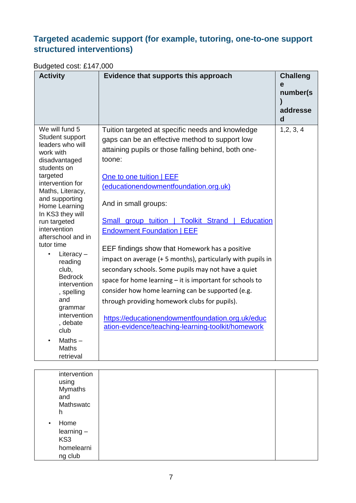#### **Targeted academic support (for example, tutoring, one-to-one support structured interventions)**

### Budgeted cost: £147,000

| <b>Activity</b>                                                                                                                                                                                                                                                                                                                                                                                                                                                       | Evidence that supports this approach                                                                                                                                                                                                                                                                                                                                                                                                                                                                                                                                                                                                                                                                                                                                                                        | <b>Challeng</b><br>e<br>number(s)<br>addresse<br>$\mathbf d$ |
|-----------------------------------------------------------------------------------------------------------------------------------------------------------------------------------------------------------------------------------------------------------------------------------------------------------------------------------------------------------------------------------------------------------------------------------------------------------------------|-------------------------------------------------------------------------------------------------------------------------------------------------------------------------------------------------------------------------------------------------------------------------------------------------------------------------------------------------------------------------------------------------------------------------------------------------------------------------------------------------------------------------------------------------------------------------------------------------------------------------------------------------------------------------------------------------------------------------------------------------------------------------------------------------------------|--------------------------------------------------------------|
| We will fund 5<br>Student support<br>leaders who will<br>work with<br>disadvantaged<br>students on<br>targeted<br>intervention for<br>Maths, Literacy,<br>and supporting<br>Home Learning<br>In KS3 they will<br>run targeted<br>intervention<br>afterschool and in<br>tutor time<br>Literacy $-$<br>reading<br>club,<br><b>Bedrock</b><br>intervention<br>, spelling<br>and<br>grammar<br>intervention<br>, debate<br>club<br>Maths $-$<br><b>Maths</b><br>retrieval | Tuition targeted at specific needs and knowledge<br>gaps can be an effective method to support low<br>attaining pupils or those falling behind, both one-<br>toone:<br>One to one tuition   EEF<br>(educationendowmentfoundation.org.uk)<br>And in small groups:<br>Small group tuition   Toolkit Strand   Education<br><b>Endowment Foundation   EEF</b><br>EEF findings show that Homework has a positive<br>impact on average (+5 months), particularly with pupils in<br>secondary schools. Some pupils may not have a quiet<br>space for home learning - it is important for schools to<br>consider how home learning can be supported (e.g.<br>through providing homework clubs for pupils).<br>https://educationendowmentfoundation.org.uk/educ<br>ation-evidence/teaching-learning-toolkit/homework | 1, 2, 3, 4                                                   |

| intervention<br>using<br><b>Mymaths</b><br>and<br>Mathswatc<br>h  |  |
|-------------------------------------------------------------------|--|
| Home<br>$\bullet$<br>$learning -$<br>KS3<br>homelearni<br>ng club |  |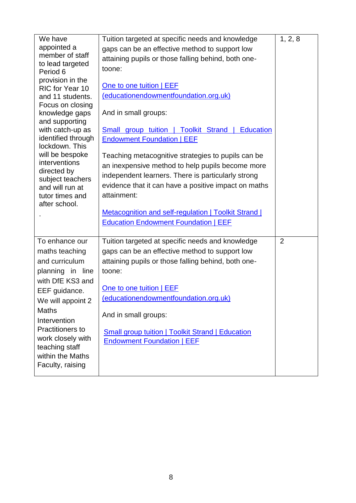| We have<br>appointed a<br>member of staff<br>to lead targeted<br>Period 6<br>provision in the<br>RIC for Year 10<br>and 11 students.<br>Focus on closing<br>knowledge gaps<br>and supporting<br>with catch-up as<br>identified through<br>lockdown. This<br>will be bespoke<br>interventions<br>directed by<br>subject teachers<br>and will run at<br>tutor times and<br>after school. | Tuition targeted at specific needs and knowledge<br>gaps can be an effective method to support low<br>attaining pupils or those falling behind, both one-<br>toone:<br>One to one tuition   EEF<br>(educationendowmentfoundation.org.uk)<br>And in small groups:<br><b>Small group tuition   Toolkit Strand   Education</b><br><b>Endowment Foundation   EEF</b><br>Teaching metacognitive strategies to pupils can be<br>an inexpensive method to help pupils become more<br>independent learners. There is particularly strong<br>evidence that it can have a positive impact on maths<br>attainment:<br>Metacognition and self-regulation   Toolkit Strand  <br><b>Education Endowment Foundation   EEF</b> | 1, 2, 8        |
|----------------------------------------------------------------------------------------------------------------------------------------------------------------------------------------------------------------------------------------------------------------------------------------------------------------------------------------------------------------------------------------|----------------------------------------------------------------------------------------------------------------------------------------------------------------------------------------------------------------------------------------------------------------------------------------------------------------------------------------------------------------------------------------------------------------------------------------------------------------------------------------------------------------------------------------------------------------------------------------------------------------------------------------------------------------------------------------------------------------|----------------|
| To enhance our<br>maths teaching<br>and curriculum<br>planning in line<br>with DfE KS3 and<br>EEF guidance.<br>We will appoint 2<br><b>Maths</b><br>Intervention<br>Practitioners to<br>work closely with<br>teaching staff<br>within the Maths<br>Faculty, raising                                                                                                                    | Tuition targeted at specific needs and knowledge<br>gaps can be an effective method to support low<br>attaining pupils or those falling behind, both one-<br>toone:<br>One to one tuition   EEF<br>(educationendowmentfoundation.org.uk)<br>And in small groups:<br><b>Small group tuition   Toolkit Strand   Education</b><br><b>Endowment Foundation   EEF</b>                                                                                                                                                                                                                                                                                                                                               | $\overline{2}$ |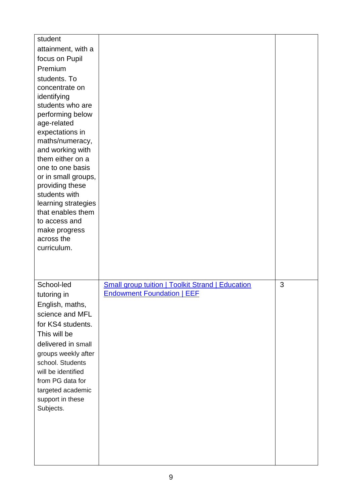| student                                |                                                         |   |
|----------------------------------------|---------------------------------------------------------|---|
| attainment, with a<br>focus on Pupil   |                                                         |   |
| Premium                                |                                                         |   |
| students. To                           |                                                         |   |
| concentrate on                         |                                                         |   |
| identifying                            |                                                         |   |
| students who are                       |                                                         |   |
| performing below<br>age-related        |                                                         |   |
| expectations in                        |                                                         |   |
| maths/numeracy,                        |                                                         |   |
| and working with<br>them either on a   |                                                         |   |
| one to one basis                       |                                                         |   |
| or in small groups,                    |                                                         |   |
| providing these                        |                                                         |   |
| students with<br>learning strategies   |                                                         |   |
| that enables them                      |                                                         |   |
| to access and                          |                                                         |   |
| make progress<br>across the            |                                                         |   |
| curriculum.                            |                                                         |   |
|                                        |                                                         |   |
|                                        |                                                         |   |
| School-led                             | <b>Small group tuition   Toolkit Strand   Education</b> | 3 |
| tutoring in                            | <b>Endowment Foundation   EEF</b>                       |   |
| English, maths,                        |                                                         |   |
| science and MFL<br>for KS4 students.   |                                                         |   |
| This will be                           |                                                         |   |
| delivered in small                     |                                                         |   |
| groups weekly after                    |                                                         |   |
| school. Students                       |                                                         |   |
| will be identified<br>from PG data for |                                                         |   |
| targeted academic                      |                                                         |   |
|                                        |                                                         |   |
| support in these                       |                                                         |   |
| Subjects.                              |                                                         |   |
|                                        |                                                         |   |
|                                        |                                                         |   |
|                                        |                                                         |   |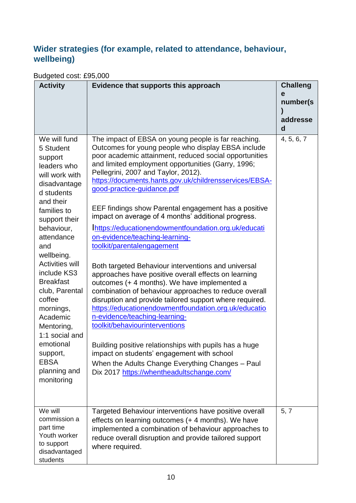#### **Wider strategies (for example, related to attendance, behaviour, wellbeing)**

#### Budgeted cost: £95,000

| <b>Activity</b>                                                                                                                                                                                                                                                                                                                                                                                                           | Evidence that supports this approach                                                                                                                                                                                                                                                                                                                                                                                                                                                                                                                                                                                                                                                                                                                                                                                                                                                                                                                                                                                                                                                                                                                                                                                   | <b>Challeng</b> |
|---------------------------------------------------------------------------------------------------------------------------------------------------------------------------------------------------------------------------------------------------------------------------------------------------------------------------------------------------------------------------------------------------------------------------|------------------------------------------------------------------------------------------------------------------------------------------------------------------------------------------------------------------------------------------------------------------------------------------------------------------------------------------------------------------------------------------------------------------------------------------------------------------------------------------------------------------------------------------------------------------------------------------------------------------------------------------------------------------------------------------------------------------------------------------------------------------------------------------------------------------------------------------------------------------------------------------------------------------------------------------------------------------------------------------------------------------------------------------------------------------------------------------------------------------------------------------------------------------------------------------------------------------------|-----------------|
|                                                                                                                                                                                                                                                                                                                                                                                                                           |                                                                                                                                                                                                                                                                                                                                                                                                                                                                                                                                                                                                                                                                                                                                                                                                                                                                                                                                                                                                                                                                                                                                                                                                                        | e<br>number(s)  |
|                                                                                                                                                                                                                                                                                                                                                                                                                           |                                                                                                                                                                                                                                                                                                                                                                                                                                                                                                                                                                                                                                                                                                                                                                                                                                                                                                                                                                                                                                                                                                                                                                                                                        |                 |
|                                                                                                                                                                                                                                                                                                                                                                                                                           |                                                                                                                                                                                                                                                                                                                                                                                                                                                                                                                                                                                                                                                                                                                                                                                                                                                                                                                                                                                                                                                                                                                                                                                                                        | addresse<br>d   |
| We will fund<br>5 Student<br>support<br>leaders who<br>will work with<br>disadvantage<br>d students<br>and their<br>families to<br>support their<br>behaviour,<br>attendance<br>and<br>wellbeing.<br><b>Activities will</b><br>include KS3<br><b>Breakfast</b><br>club, Parental<br>coffee<br>mornings,<br>Academic<br>Mentoring,<br>1:1 social and<br>emotional<br>support,<br><b>EBSA</b><br>planning and<br>monitoring | The impact of EBSA on young people is far reaching.<br>Outcomes for young people who display EBSA include<br>poor academic attainment, reduced social opportunities<br>and limited employment opportunities (Garry, 1996;<br>Pellegrini, 2007 and Taylor, 2012).<br>https://documents.hants.gov.uk/childrensservices/EBSA-<br>good-practice-guidance.pdf<br>EEF findings show Parental engagement has a positive<br>impact on average of 4 months' additional progress.<br>Inttps://educationendowmentfoundation.org.uk/educati<br>on-evidence/teaching-learning-<br>toolkit/parentalengagement<br>Both targeted Behaviour interventions and universal<br>approaches have positive overall effects on learning<br>outcomes (+ 4 months). We have implemented a<br>combination of behaviour approaches to reduce overall<br>disruption and provide tailored support where required.<br>https://educationendowmentfoundation.org.uk/educatio<br>n-evidence/teaching-learning-<br>toolkit/behaviourinterventions<br>Building positive relationships with pupils has a huge<br>impact on students' engagement with school<br>When the Adults Change Everything Changes - Paul<br>Dix 2017 https://whentheadultschange.com/ | 4, 5, 6, 7      |
| We will<br>commission a<br>part time<br>Youth worker<br>to support<br>disadvantaged<br>students                                                                                                                                                                                                                                                                                                                           | Targeted Behaviour interventions have positive overall<br>effects on learning outcomes (+4 months). We have<br>implemented a combination of behaviour approaches to<br>reduce overall disruption and provide tailored support<br>where required.                                                                                                                                                                                                                                                                                                                                                                                                                                                                                                                                                                                                                                                                                                                                                                                                                                                                                                                                                                       | 5, 7            |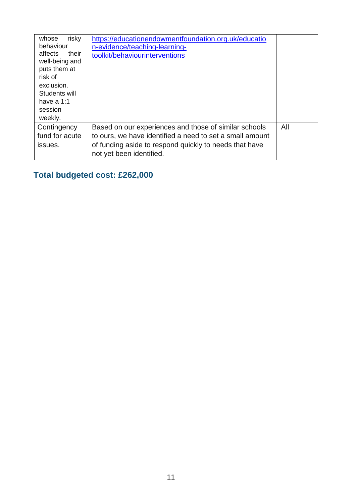| risky<br>whose<br>behaviour<br>affects<br>their<br>well-being and<br>puts them at<br>risk of<br>exclusion.<br>Students will<br>have a 1:1<br>session<br>weekly. | https://educationendowmentfoundation.org.uk/educatio<br>n-evidence/teaching-learning-<br>toolkit/behaviourinterventions                                                                                 |     |
|-----------------------------------------------------------------------------------------------------------------------------------------------------------------|---------------------------------------------------------------------------------------------------------------------------------------------------------------------------------------------------------|-----|
| Contingency<br>fund for acute<br>issues.                                                                                                                        | Based on our experiences and those of similar schools<br>to ours, we have identified a need to set a small amount<br>of funding aside to respond quickly to needs that have<br>not yet been identified. | All |

### **Total budgeted cost: £262,000**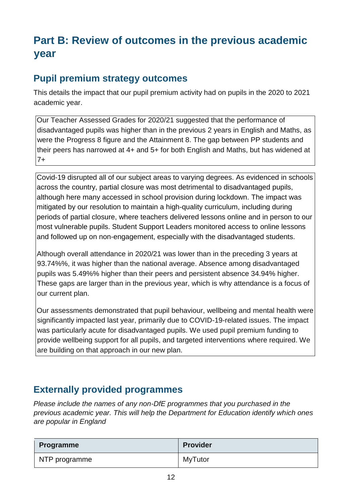## **Part B: Review of outcomes in the previous academic year**

### **Pupil premium strategy outcomes**

This details the impact that our pupil premium activity had on pupils in the 2020 to 2021 academic year.

Our Teacher Assessed Grades for 2020/21 suggested that the performance of disadvantaged pupils was higher than in the previous 2 years in English and Maths, as were the Progress 8 figure and the Attainment 8. The gap between PP students and their peers has narrowed at 4+ and 5+ for both English and Maths, but has widened at 7+

Covid-19 disrupted all of our subject areas to varying degrees. As evidenced in schools across the country, partial closure was most detrimental to disadvantaged pupils, although here many accessed in school provision during lockdown. The impact was mitigated by our resolution to maintain a high-quality curriculum, including during periods of partial closure, where teachers delivered lessons online and in person to our most vulnerable pupils. Student Support Leaders monitored access to online lessons and followed up on non-engagement, especially with the disadvantaged students.

Although overall attendance in 2020/21 was lower than in the preceding 3 years at 93.74%%, it was higher than the national average. Absence among disadvantaged pupils was 5.49%% higher than their peers and persistent absence 34.94% higher. These gaps are larger than in the previous year, which is why attendance is a focus of our current plan.

Our assessments demonstrated that pupil behaviour, wellbeing and mental health were significantly impacted last year, primarily due to COVID-19-related issues. The impact was particularly acute for disadvantaged pupils. We used pupil premium funding to provide wellbeing support for all pupils, and targeted interventions where required. We are building on that approach in our new plan.

### **Externally provided programmes**

*Please include the names of any non-DfE programmes that you purchased in the previous academic year. This will help the Department for Education identify which ones are popular in England* 

| <b>Programme</b> | <b>Provider</b> |
|------------------|-----------------|
| NTP programme    | <b>MyTutor</b>  |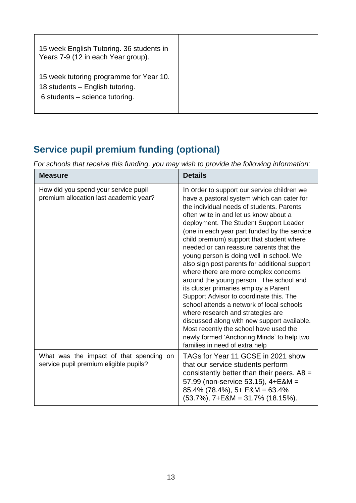| 15 week English Tutoring. 36 students in<br>Years 7-9 (12 in each Year group).                                 |  |
|----------------------------------------------------------------------------------------------------------------|--|
| 15 week tutoring programme for Year 10.<br>18 students - English tutoring.<br>$6$ students – science tutoring. |  |

## **Service pupil premium funding (optional)**

*For schools that receive this funding, you may wish to provide the following information:* 

| <b>Measure</b>                                                                    | <b>Details</b>                                                                                                                                                                                                                                                                                                                                                                                                                                                                                                                                                                                                                                                                                                                                                                                                                                                                                     |
|-----------------------------------------------------------------------------------|----------------------------------------------------------------------------------------------------------------------------------------------------------------------------------------------------------------------------------------------------------------------------------------------------------------------------------------------------------------------------------------------------------------------------------------------------------------------------------------------------------------------------------------------------------------------------------------------------------------------------------------------------------------------------------------------------------------------------------------------------------------------------------------------------------------------------------------------------------------------------------------------------|
| How did you spend your service pupil<br>premium allocation last academic year?    | In order to support our service children we<br>have a pastoral system which can cater for<br>the individual needs of students. Parents<br>often write in and let us know about a<br>deployment. The Student Support Leader<br>(one in each year part funded by the service<br>child premium) support that student where<br>needed or can reassure parents that the<br>young person is doing well in school. We<br>also sign post parents for additional support<br>where there are more complex concerns<br>around the young person. The school and<br>its cluster primaries employ a Parent<br>Support Advisor to coordinate this. The<br>school attends a network of local schools<br>where research and strategies are<br>discussed along with new support available.<br>Most recently the school have used the<br>newly formed 'Anchoring Minds' to help two<br>families in need of extra help |
| What was the impact of that spending on<br>service pupil premium eligible pupils? | TAGs for Year 11 GCSE in 2021 show<br>that our service students perform<br>consistently better than their peers. $A8 =$<br>57.99 (non-service 53.15), 4+E&M =<br>$85.4\%$ (78.4%), 5+ E&M = 63.4%<br>$(53.7\%)$ , 7+E&M = 31.7% (18.15%).                                                                                                                                                                                                                                                                                                                                                                                                                                                                                                                                                                                                                                                          |